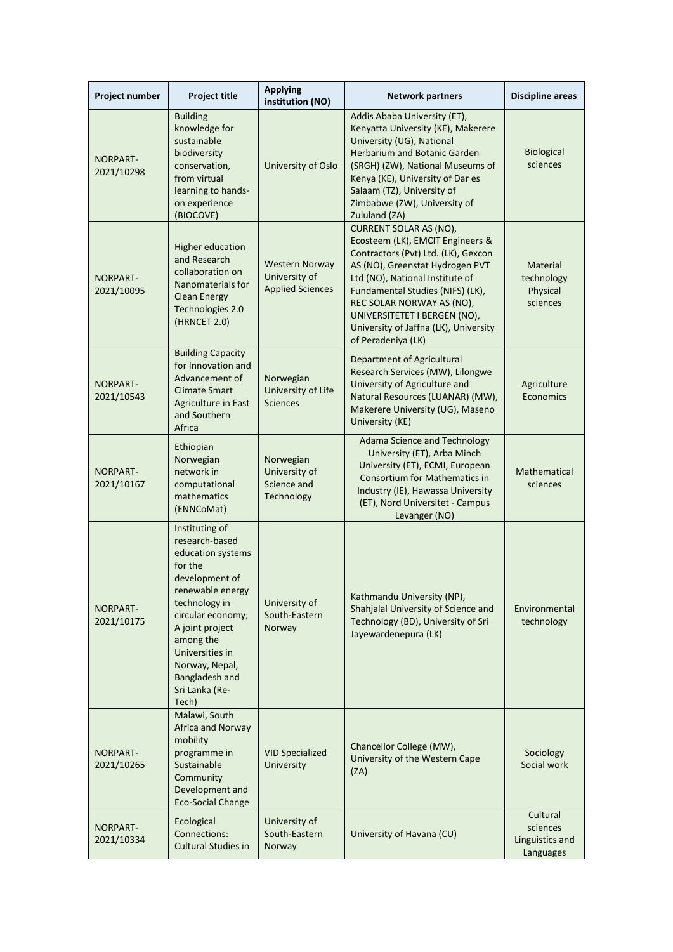| Project number                | <b>Project title</b>                                                                                                                                                                                                                                                  | <b>Applying</b><br>institution (NO)                               | <b>Network partners</b>                                                                                                                                                                                                                                                                                                                        | <b>Discipline areas</b>                              |
|-------------------------------|-----------------------------------------------------------------------------------------------------------------------------------------------------------------------------------------------------------------------------------------------------------------------|-------------------------------------------------------------------|------------------------------------------------------------------------------------------------------------------------------------------------------------------------------------------------------------------------------------------------------------------------------------------------------------------------------------------------|------------------------------------------------------|
| <b>NORPART-</b><br>2021/10298 | <b>Building</b><br>knowledge for<br>sustainable<br>biodiversity<br>conservation,<br>from virtual<br>learning to hands-<br>on experience<br>(BIOCOVE)                                                                                                                  | University of Oslo                                                | Addis Ababa University (ET),<br>Kenyatta University (KE), Makerere<br>University (UG), National<br><b>Herbarium and Botanic Garden</b><br>(SRGH) (ZW), National Museums of<br>Kenya (KE), University of Dar es<br>Salaam (TZ), University of<br>Zimbabwe (ZW), University of<br>Zululand (ZA)                                                  | <b>Biological</b><br>sciences                        |
| <b>NORPART-</b><br>2021/10095 | Higher education<br>and Research<br>collaboration on<br>Nanomaterials for<br><b>Clean Energy</b><br>Technologies 2.0<br>(HRNCET 2.0)                                                                                                                                  | <b>Western Norway</b><br>University of<br><b>Applied Sciences</b> | <b>CURRENT SOLAR AS (NO),</b><br>Ecosteem (LK), EMCIT Engineers &<br>Contractors (Pvt) Ltd. (LK), Gexcon<br>AS (NO), Greenstat Hydrogen PVT<br>Ltd (NO), National Institute of<br>Fundamental Studies (NIFS) (LK),<br>REC SOLAR NORWAY AS (NO),<br>UNIVERSITETET I BERGEN (NO),<br>University of Jaffna (LK), University<br>of Peradeniya (LK) | Material<br>technology<br>Physical<br>sciences       |
| NORPART-<br>2021/10543        | <b>Building Capacity</b><br>for Innovation and<br>Advancement of<br><b>Climate Smart</b><br>Agriculture in East<br>and Southern<br>Africa                                                                                                                             | Norwegian<br>University of Life<br><b>Sciences</b>                | Department of Agricultural<br>Research Services (MW), Lilongwe<br>University of Agriculture and<br>Natural Resources (LUANAR) (MW),<br>Makerere University (UG), Maseno<br>University (KE)                                                                                                                                                     | Agriculture<br><b>Economics</b>                      |
| <b>NORPART-</b><br>2021/10167 | Ethiopian<br>Norwegian<br>network in<br>computational<br>mathematics<br>(ENNCoMat)                                                                                                                                                                                    | Norwegian<br>University of<br>Science and<br>Technology           | <b>Adama Science and Technology</b><br>University (ET), Arba Minch<br>University (ET), ECMI, European<br><b>Consortium for Mathematics in</b><br>Industry (IE), Hawassa University<br>(ET), Nord Universitet - Campus<br>Levanger (NO)                                                                                                         | Mathematical<br>sciences                             |
| NORPART-<br>2021/10175        | Instituting of<br>research-based<br>education systems<br>for the<br>development of<br>renewable energy<br>technology in<br>circular economy;<br>A joint project<br>among the<br>Universities in<br>Norway, Nepal,<br><b>Bangladesh and</b><br>Sri Lanka (Re-<br>Tech) | University of<br>South-Eastern<br>Norway                          | Kathmandu University (NP),<br>Shahjalal University of Science and<br>Technology (BD), University of Sri<br>Jayewardenepura (LK)                                                                                                                                                                                                                | Environmental<br>technology                          |
| NORPART-<br>2021/10265        | Malawi, South<br>Africa and Norway<br>mobility<br>programme in<br>Sustainable<br>Community<br>Development and<br><b>Eco-Social Change</b>                                                                                                                             | <b>VID Specialized</b><br>University                              | Chancellor College (MW),<br>University of the Western Cape<br>(ZA)                                                                                                                                                                                                                                                                             | Sociology<br>Social work                             |
| NORPART-<br>2021/10334        | Ecological<br>Connections:<br><b>Cultural Studies in</b>                                                                                                                                                                                                              | University of<br>South-Eastern<br>Norway                          | University of Havana (CU)                                                                                                                                                                                                                                                                                                                      | Cultural<br>sciences<br>Linguistics and<br>Languages |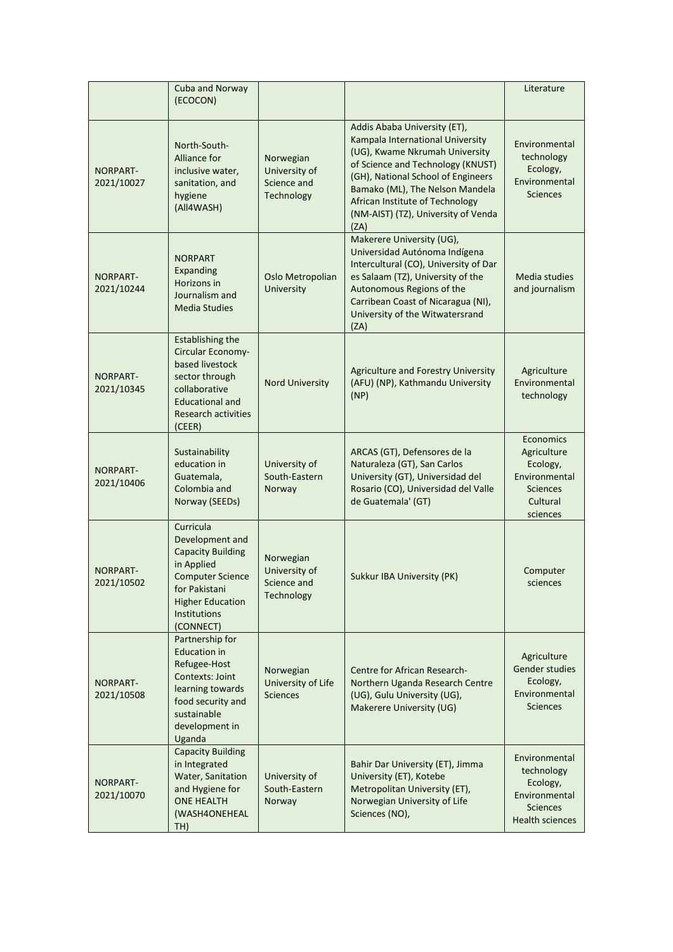|                               | Cuba and Norway<br>(ECOCON)                                                                                                                                                |                                                         |                                                                                                                                                                                                                                                                                                    | Literature                                                                                            |
|-------------------------------|----------------------------------------------------------------------------------------------------------------------------------------------------------------------------|---------------------------------------------------------|----------------------------------------------------------------------------------------------------------------------------------------------------------------------------------------------------------------------------------------------------------------------------------------------------|-------------------------------------------------------------------------------------------------------|
| NORPART-<br>2021/10027        | North-South-<br>Alliance for<br>inclusive water,<br>sanitation, and<br>hygiene<br>(All4WASH)                                                                               | Norwegian<br>University of<br>Science and<br>Technology | Addis Ababa University (ET),<br>Kampala International University<br>(UG), Kwame Nkrumah University<br>of Science and Technology (KNUST)<br>(GH), National School of Engineers<br>Bamako (ML), The Nelson Mandela<br>African Institute of Technology<br>(NM-AIST) (TZ), University of Venda<br>(ZA) | Environmental<br>technology<br>Ecology,<br>Environmental<br><b>Sciences</b>                           |
| NORPART-<br>2021/10244        | <b>NORPART</b><br>Expanding<br>Horizons in<br>Journalism and<br><b>Media Studies</b>                                                                                       | Oslo Metropolian<br>University                          | Makerere University (UG),<br>Universidad Autónoma Indígena<br>Intercultural (CO), University of Dar<br>es Salaam (TZ), University of the<br>Autonomous Regions of the<br>Carribean Coast of Nicaragua (NI),<br>University of the Witwatersrand<br>(ZA)                                             | Media studies<br>and journalism                                                                       |
| <b>NORPART-</b><br>2021/10345 | <b>Establishing the</b><br>Circular Economy-<br>based livestock<br>sector through<br>collaborative<br><b>Educational and</b><br><b>Research activities</b><br>(CEER)       | <b>Nord University</b>                                  | Agriculture and Forestry University<br>(AFU) (NP), Kathmandu University<br>(NP)                                                                                                                                                                                                                    | Agriculture<br>Environmental<br>technology                                                            |
| NORPART-<br>2021/10406        | Sustainability<br>education in<br>Guatemala,<br>Colombia and<br>Norway (SEEDs)                                                                                             | University of<br>South-Eastern<br>Norway                | ARCAS (GT), Defensores de la<br>Naturaleza (GT), San Carlos<br>University (GT), Universidad del<br>Rosario (CO), Universidad del Valle<br>de Guatemala' (GT)                                                                                                                                       | Economics<br>Agriculture<br>Ecology,<br>Environmental<br><b>Sciences</b><br>Cultural<br>sciences      |
| <b>NORPART-</b><br>2021/10502 | Curricula<br>Development and<br><b>Capacity Building</b><br>in Applied<br><b>Computer Science</b><br>for Pakistani<br><b>Higher Education</b><br>Institutions<br>(CONNECT) | Norwegian<br>University of<br>Science and<br>Technology | Sukkur IBA University (PK)                                                                                                                                                                                                                                                                         | Computer<br>sciences                                                                                  |
| <b>NORPART-</b><br>2021/10508 | Partnership for<br><b>Education in</b><br>Refugee-Host<br>Contexts: Joint<br>learning towards<br>food security and<br>sustainable<br>development in<br>Uganda              | Norwegian<br>University of Life<br><b>Sciences</b>      | Centre for African Research-<br>Northern Uganda Research Centre<br>(UG), Gulu University (UG),<br>Makerere University (UG)                                                                                                                                                                         | Agriculture<br>Gender studies<br>Ecology,<br>Environmental<br><b>Sciences</b>                         |
| <b>NORPART-</b><br>2021/10070 | <b>Capacity Building</b><br>in Integrated<br>Water, Sanitation<br>and Hygiene for<br><b>ONE HEALTH</b><br>(WASH4ONEHEAL<br>TH)                                             | University of<br>South-Eastern<br>Norway                | Bahir Dar University (ET), Jimma<br>University (ET), Kotebe<br>Metropolitan University (ET),<br>Norwegian University of Life<br>Sciences (NO),                                                                                                                                                     | Environmental<br>technology<br>Ecology,<br>Environmental<br><b>Sciences</b><br><b>Health sciences</b> |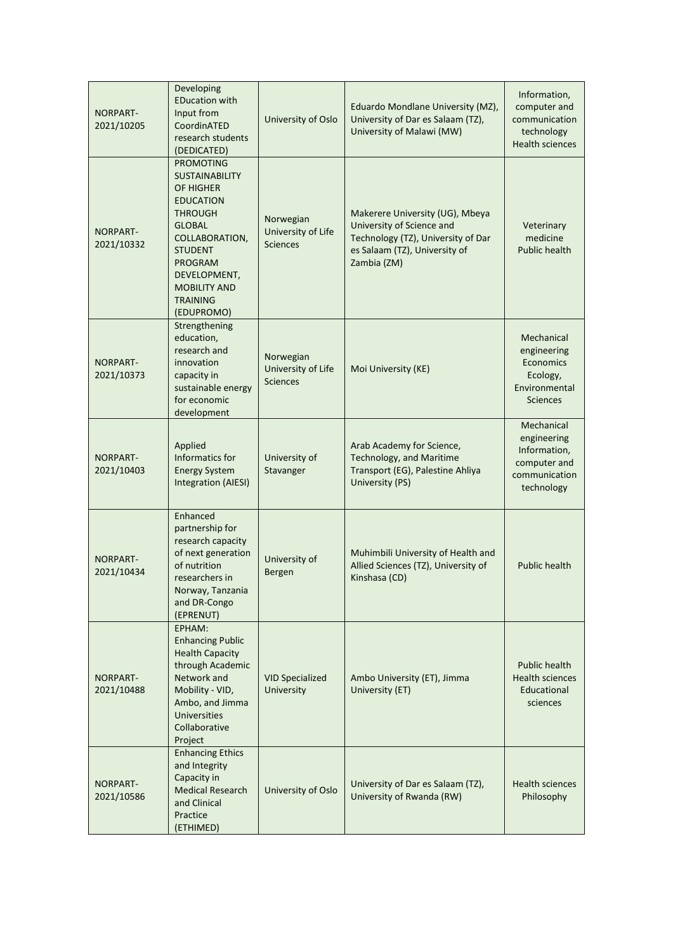| <b>NORPART-</b><br>2021/10205 | Developing<br><b>EDucation with</b><br>Input from<br>CoordinATED<br>research students<br>(DEDICATED)                                                                                                                                        | University of Oslo                                        | Eduardo Mondlane University (MZ),<br>University of Dar es Salaam (TZ),<br>University of Malawi (MW)                                                | Information,<br>computer and<br>communication<br>technology<br><b>Health sciences</b>    |
|-------------------------------|---------------------------------------------------------------------------------------------------------------------------------------------------------------------------------------------------------------------------------------------|-----------------------------------------------------------|----------------------------------------------------------------------------------------------------------------------------------------------------|------------------------------------------------------------------------------------------|
| <b>NORPART-</b><br>2021/10332 | <b>PROMOTING</b><br><b>SUSTAINABILITY</b><br>OF HIGHER<br><b>EDUCATION</b><br><b>THROUGH</b><br><b>GLOBAL</b><br>COLLABORATION,<br><b>STUDENT</b><br><b>PROGRAM</b><br>DEVELOPMENT,<br><b>MOBILITY AND</b><br><b>TRAINING</b><br>(EDUPROMO) | Norwegian<br>University of Life<br><b>Sciences</b>        | Makerere University (UG), Mbeya<br>University of Science and<br>Technology (TZ), University of Dar<br>es Salaam (TZ), University of<br>Zambia (ZM) | Veterinary<br>medicine<br><b>Public health</b>                                           |
| <b>NORPART-</b><br>2021/10373 | Strengthening<br>education,<br>research and<br>innovation<br>capacity in<br>sustainable energy<br>for economic<br>development                                                                                                               | Norwegian<br><b>University of Life</b><br><b>Sciences</b> | Moi University (KE)                                                                                                                                | Mechanical<br>engineering<br>Economics<br>Ecology,<br>Environmental<br><b>Sciences</b>   |
| <b>NORPART-</b><br>2021/10403 | Applied<br>Informatics for<br><b>Energy System</b><br>Integration (AIESI)                                                                                                                                                                   | University of<br>Stavanger                                | Arab Academy for Science,<br><b>Technology, and Maritime</b><br>Transport (EG), Palestine Ahliya<br>University (PS)                                | Mechanical<br>engineering<br>Information,<br>computer and<br>communication<br>technology |
| <b>NORPART-</b><br>2021/10434 | Enhanced<br>partnership for<br>research capacity<br>of next generation<br>of nutrition<br>researchers in<br>Norway, Tanzania<br>and DR-Congo<br>(EPRENUT)                                                                                   | University of<br>Bergen                                   | Muhimbili University of Health and<br>Allied Sciences (TZ), University of<br>Kinshasa (CD)                                                         | Public health                                                                            |
| NORPART-<br>2021/10488        | EPHAM:<br><b>Enhancing Public</b><br><b>Health Capacity</b><br>through Academic<br>Network and<br>Mobility - VID,<br>Ambo, and Jimma<br>Universities<br>Collaborative<br>Project                                                            | <b>VID Specialized</b><br>University                      | Ambo University (ET), Jimma<br>University (ET)                                                                                                     | Public health<br><b>Health sciences</b><br>Educational<br>sciences                       |
| NORPART-<br>2021/10586        | <b>Enhancing Ethics</b><br>and Integrity<br>Capacity in<br><b>Medical Research</b><br>and Clinical<br>Practice<br>(ETHIMED)                                                                                                                 | University of Oslo                                        | University of Dar es Salaam (TZ),<br>University of Rwanda (RW)                                                                                     | <b>Health sciences</b><br>Philosophy                                                     |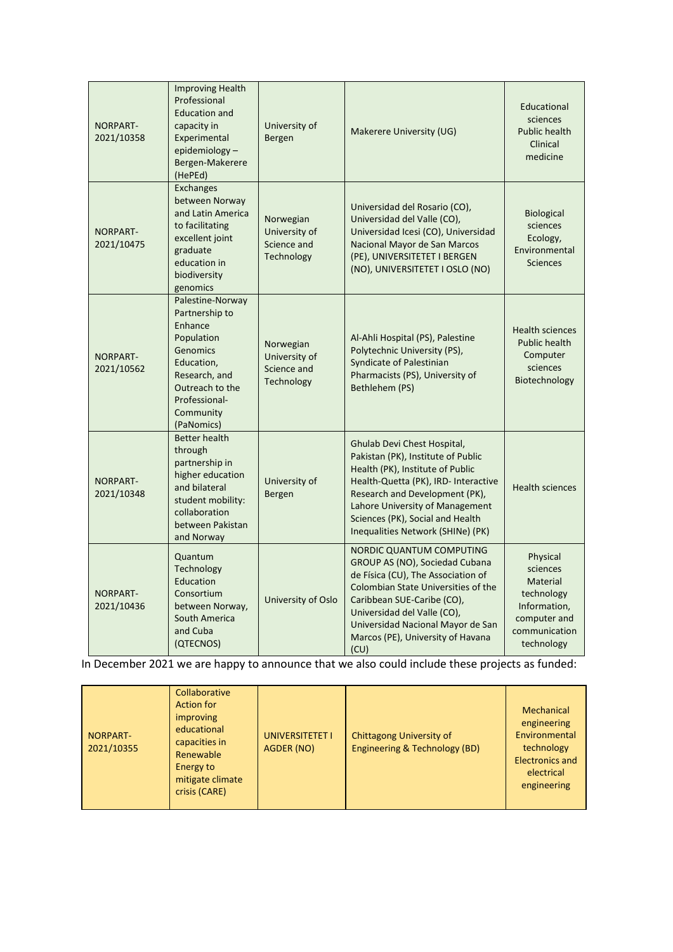| <b>NORPART-</b><br>2021/10358 | <b>Improving Health</b><br>Professional<br><b>Education and</b><br>capacity in<br>Experimental<br>epidemiology-<br>Bergen-Makerere<br>(HePEd)                         | University of<br>Bergen                                        | Makerere University (UG)                                                                                                                                                                                                                                                                      | Educational<br>sciences<br><b>Public health</b><br>Clinical<br>medicine                                              |
|-------------------------------|-----------------------------------------------------------------------------------------------------------------------------------------------------------------------|----------------------------------------------------------------|-----------------------------------------------------------------------------------------------------------------------------------------------------------------------------------------------------------------------------------------------------------------------------------------------|----------------------------------------------------------------------------------------------------------------------|
| NORPART-<br>2021/10475        | <b>Exchanges</b><br>between Norway<br>and Latin America<br>to facilitating<br>excellent joint<br>graduate<br>education in<br>biodiversity<br>genomics                 | Norwegian<br>University of<br>Science and<br>Technology        | Universidad del Rosario (CO),<br>Universidad del Valle (CO),<br>Universidad Icesi (CO), Universidad<br>Nacional Mayor de San Marcos<br>(PE), UNIVERSITETET I BERGEN<br>(NO), UNIVERSITETET I OSLO (NO)                                                                                        | Biological<br>sciences<br>Ecology,<br>Environmental<br><b>Sciences</b>                                               |
| NORPART-<br>2021/10562        | Palestine-Norway<br>Partnership to<br>Enhance<br>Population<br>Genomics<br>Education,<br>Research, and<br>Outreach to the<br>Professional-<br>Community<br>(PaNomics) | Norwegian<br>University of<br>Science and<br><b>Technology</b> | Al-Ahli Hospital (PS), Palestine<br>Polytechnic University (PS),<br>Syndicate of Palestinian<br>Pharmacists (PS), University of<br>Bethlehem (PS)                                                                                                                                             | <b>Health sciences</b><br><b>Public health</b><br>Computer<br>sciences<br>Biotechnology                              |
| NORPART-<br>2021/10348        | <b>Better health</b><br>through<br>partnership in<br>higher education<br>and bilateral<br>student mobility:<br>collaboration<br>between Pakistan<br>and Norway        | University of<br>Bergen                                        | Ghulab Devi Chest Hospital,<br>Pakistan (PK), Institute of Public<br>Health (PK), Institute of Public<br>Health-Quetta (PK), IRD- Interactive<br>Research and Development (PK),<br>Lahore University of Management<br>Sciences (PK), Social and Health<br>Inequalities Network (SHINe) (PK)   | <b>Health sciences</b>                                                                                               |
| NORPART-<br>2021/10436        | Quantum<br>Technology<br>Education<br>Consortium<br>between Norway,<br>South America<br>and Cuba<br>(QTECNOS)                                                         | University of Oslo                                             | <b>NORDIC QUANTUM COMPUTING</b><br>GROUP AS (NO), Sociedad Cubana<br>de Física (CU), The Association of<br>Colombian State Universities of the<br>Caribbean SUE-Caribe (CO),<br>Universidad del Valle (CO),<br>Universidad Nacional Mayor de San<br>Marcos (PE), University of Havana<br>(CU) | Physical<br>sciences<br><b>Material</b><br>technology<br>Information,<br>computer and<br>communication<br>technology |

In December 2021 we are happy to announce that we also could include these projects as funded: